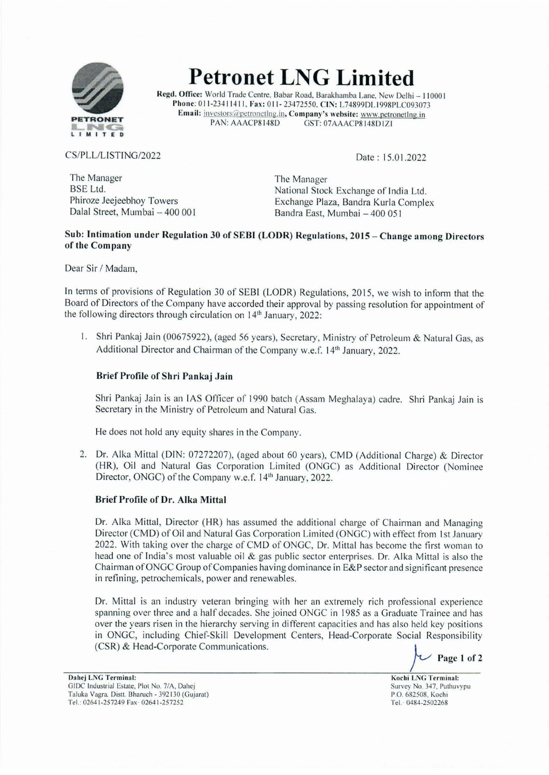

**Petronet LNG Limited** 

Regd. Office: World Trade Centre. Babar Road. Barakhamba Lane. New Delhi - 110001 Phone: 011-23411411, Fax: 011-23472550, CIN: L74899DL1998PLC093073 Email: <u>investors@petronetlng.in</u>, Company's website: www.petronetlng.in<br>PAN: AAACP8148D GST: 07AAACP8148D1Z1 GST: 07AAACP8148D1ZI

### CS/PLL/LISTING/2022

Date: 15.01.2022

The Manager BSE Ltd. Phiroze Jeejeebhoy Towers Dalal Street, Mumbai - 400 001

The Manager National Stock Exchange of India Ltd. Exchange Plaza, Bandra Kurla Complex Bandra East, Mumbai - 400 051

## **Sub: Intimation under Regulation 30 of SEBI (LODR) Regulations, 2015** - **Change among Directors of the Company**

Dear Sir / Madam,

In terms of provisions of Regulation 30 of SEBI (LODR) Regulations, 20 15, we wish to inform that the Board of Directors of the Company have accorded their approval by passing resolution for appointment of the following directors through circulation on 14<sup>th</sup> January, 2022:

I. Shri Pankaj Jain (00675922), (aged 56 years), Secretary, Ministry of Petroleum & Natural Gas, as Additional Director and Chairman of the Company w.e.f. 14<sup>th</sup> January, 2022.

#### **Brief Profile of Shri Pankaj Jain**

Shri Pankaj Jain is an IAS Officer of 1990 batch (Assam Meghalaya) cadre. Shri Pankaj Jain is Secretary in the Ministry of Petroleum and Natural Gas.

He does not hold any equity shares in the Company.

2. Dr. Alka Mittal (DIN: 07272207), (aged about 60 years), CMD (Additional Charge) & Director (HR), Oil and Natural Gas Corporation Limited (ONGC) as Additional Director (Nominee Director, ONGC) of the Company w.e.f. 14<sup>th</sup> January, 2022.

#### **Brief Profile of Dr. Atka Mittal**

Dr. Alka Mittal, Director (HR) has assumed the additional charge of Chairman and Managing Director (CMD) of Oil and Natural Gas Corporation Limited (ONGC) with effect from 1st January 2022. With taking over the charge of CMD of ONGC, Dr. Mittal has become the first woman to head one of India's most valuable oil & gas public sector enterprises. Dr. Alka Mittal is also the Chairman ofONGC Group of Companies having dominance in E&P sector and significant presence in refining, petrochemicals, power and renewables.

Dr. Mittal is an industry veteran bringing with her an extremely rich professional experience spanning over three and a half decades. She joined ONGC in 1985 as a Graduate Trainee and has over the years risen in the hierarchy serving in different capacities and has also held key positions in ONGC, including Chief-Skill Development Centers, Head-Corporate Social Responsibility (CSR) & Head-Corporate Communications.<br>**Page 1 of 2 Page 1 of 2** 

Dahcj LNG Terminal: GIDC Industrial Estate, Plot No. 7/A, Dahej Taluka Vagra. Distt. Bharuch - 392130 (Gujarat) Tel.: 0264 1-257249 Fax· 0264l-257252

Kochi LNG Terminal: Survey No. 347, Puthuvypu P.O. 682508. Kochi Tel.· 0484-2502268